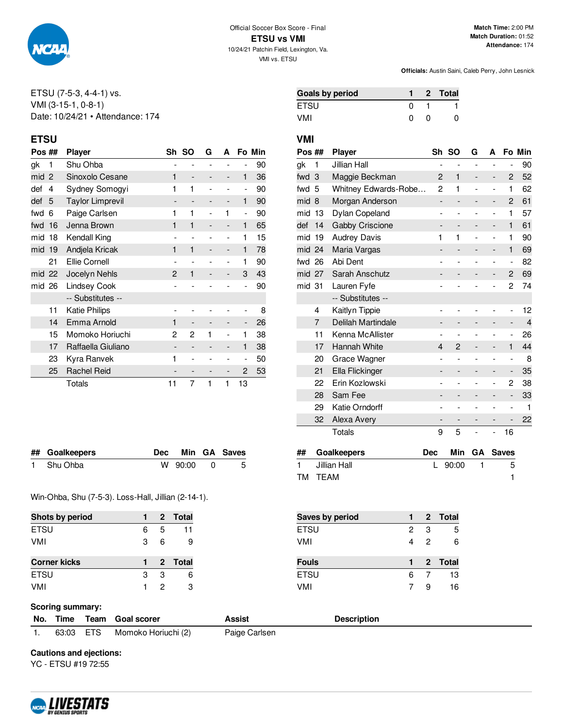

#### ETSU (7-5-3, 4-4-1) vs. VMI (3-15-1, 0-8-1) Date: 10/24/21 • Attendance: 174

#### **ETSU VMI**

| Pos ## |                | <b>Player</b>                       | Sh           | -SO                      | G  | A              |                          | Fo Min |
|--------|----------------|-------------------------------------|--------------|--------------------------|----|----------------|--------------------------|--------|
| gk     | 1              | Shu Ohba                            |              |                          |    |                |                          | 90     |
| mid    | $\overline{2}$ | Sinoxolo Cesane                     | 1            |                          |    |                | 1                        | 36     |
| def    | 4              | Sydney Somogyi                      | 1            | 1                        |    |                | $\overline{a}$           | 90     |
| def    | 5              | <b>Taylor Limprevil</b>             |              | $\qquad \qquad -$        |    | -              | 1                        | 90     |
| fwd    | 6              | Paige Carlsen                       | 1            | 1                        |    | 1              | ۰                        | 90     |
| fwd    | 16             | Jenna Brown                         | 1            | 1                        |    |                | 1                        | 65     |
| mid    | 18             | Kendall King                        |              |                          |    |                | 1                        | 15     |
| mid    | 19             | Andjela Kricak                      | 1            | 1                        |    | -              | 1                        | 78     |
|        | 21             | <b>Ellie Cornell</b>                |              |                          |    | $\overline{a}$ | 1                        | 90     |
| mid 22 |                | Jocelyn Nehls                       | $\mathbf{2}$ | 1                        |    |                | 3                        | 43     |
| mid    | 26             | <b>Lindsey Cook</b>                 |              |                          |    |                |                          | 90     |
|        |                | -- Substitutes --                   |              |                          |    |                |                          |        |
|        | 11             | Katie Philips                       |              |                          |    |                |                          | 8      |
|        | 14             | Emma Arnold                         | 1            | $\overline{\phantom{0}}$ |    |                | -                        | 26     |
|        | 15             | Momoko Horiuchi<br>1<br>2<br>2<br>1 |              |                          | 38 |                |                          |        |
|        | 17             | Raffaella Giuliano                  |              |                          |    |                | 1                        | 38     |
|        | 23             | Kyra Ranvek                         | 1            | $\overline{a}$           |    |                | $\overline{\phantom{0}}$ | 50     |
|        | 25             | <b>Rachel Reid</b>                  |              |                          |    | -              | 2                        | 53     |
|        |                | Totals                              | 11           | 7                        | 1  | 1              | 13                       |        |

| ## Goalkeepers |           | Dec Min GA Saves |
|----------------|-----------|------------------|
| 1 Shu Ohba     | W 90:00 0 | - 5              |

Win-Ohba, Shu (7-5-3). Loss-Hall, Jillian (2-14-1).

| <b>Shots by period</b> |   |   | 2 Total |
|------------------------|---|---|---------|
| <b>ETSU</b>            | 6 | 5 | 11      |
| VMI                    | 3 | 6 | 9       |
| <b>Corner kicks</b>    |   |   | 2 Total |
| <b>ETSU</b>            | З | 3 | 6       |
| VMI                    |   | 2 | з       |

| ak 1  | Jillian Hall             |                         |            |                                             |          |
|-------|--------------------------|-------------------------|------------|---------------------------------------------|----------|
| fwd 3 | Maggie Beckman           | $\sqrt{2}$ 1 $\sqrt{2}$ | $\sim 100$ |                                             | 2 52     |
| fwd 5 | Whitney Edwards-Robe 2 1 |                         |            | $\omega_{\rm{max}}$ and $\omega_{\rm{max}}$ | 1 62     |
| mid 8 | Morgan Anderson          |                         |            |                                             | 2 61     |
|       | mid 13 Dylan Coneland    |                         |            |                                             | $\sim$ / |

**Pos ## Player Sh SO G A Fo Min**

**Goals by period 1 2 Total** ETSU 0 1 1 VMI 0 0 0

| mid    | 8  | Morgan Anderson     |                |              |   |                          | 2                        | 61             |
|--------|----|---------------------|----------------|--------------|---|--------------------------|--------------------------|----------------|
| mid    | 13 | Dylan Copeland      |                |              |   |                          | 1                        | 57             |
| def    | 14 | Gabby Criscione     | -              |              |   | -                        | 1                        | 61             |
| mid    | 19 | <b>Audrey Davis</b> | 1              | 1            | ۰ | $\overline{\phantom{0}}$ | 1                        | 90             |
| mid 24 |    | Maria Vargas        | -              |              |   | -                        | 1                        | 69             |
| fwd 26 |    | Abi Dent            |                |              |   |                          | $\overline{\phantom{m}}$ | 82             |
| mid 27 |    | Sarah Anschutz      |                |              |   |                          | 2                        | 69             |
| mid 31 |    | Lauren Fyfe         |                |              |   |                          | 2                        | 74             |
|        |    | -- Substitutes --   |                |              |   |                          |                          |                |
|        | 4  | Kaitlyn Tippie      |                |              |   |                          | $\overline{a}$           | 12             |
|        | 7  | Delilah Martindale  | -              |              |   |                          | -                        | $\overline{4}$ |
|        | 11 | Kenna McAllister    |                |              |   |                          | $\overline{\phantom{0}}$ | 26             |
|        | 17 | Hannah White        | 4              | $\mathbf{2}$ |   | -                        | 1                        | 44             |
|        | 20 | Grace Wagner        | $\overline{a}$ |              |   |                          | $\overline{\phantom{0}}$ | 8              |
|        | 21 | Ella Flickinger     | -              |              |   |                          | -                        | 35             |
|        | 22 | Erin Kozlowski      |                |              |   |                          | 2                        | 38             |
|        | 28 | Sam Fee             |                |              |   |                          | $\overline{a}$           | 33             |
|        | 29 | Katie Orndorff      |                |              |   |                          |                          | 1              |
|        | 32 | Alexa Avery         |                |              |   |                          |                          | 22             |
|        |    | Totals              | 9              | 5            |   | -                        | 16                       |                |

| ## Goalkeepers | Dec |         | Min GA Saves |
|----------------|-----|---------|--------------|
| 1 Jillian Hall |     | L 90:00 |              |
| TM TEAM        |     |         |              |

| Saves by period |   |   | 2 Total |
|-----------------|---|---|---------|
| <b>ETSU</b>     | 2 | 3 | 5       |
| <b>VMI</b>      | 4 | 2 | 6       |
| <b>Fouls</b>    |   |   | 2 Total |
| <b>ETSU</b>     | 6 |   | 13      |
|                 |   |   |         |

#### **Scoring summary:**

|  | No. Time Team Goal scorer     | Assist        | <b>Description</b> |
|--|-------------------------------|---------------|--------------------|
|  | 63:03 ETS Momoko Horiuchi (2) | Paige Carlsen |                    |

**Cautions and ejections:**

YC - ETSU #19 72:55

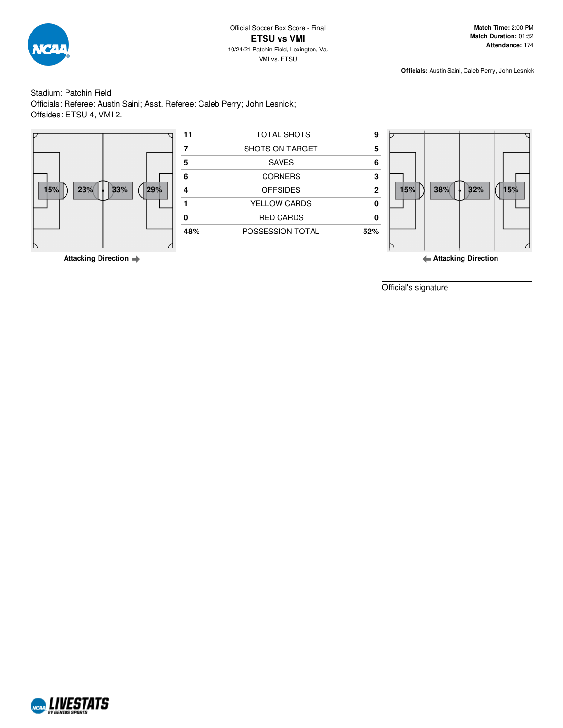

Stadium: Patchin Field Officials: Referee: Austin Saini; Asst. Referee: Caleb Perry; John Lesnick; Offsides: ETSU 4, VMI 2.



|     |     |     |     | 11           | TOTAL SHOTS      |     |     |     |     |     |
|-----|-----|-----|-----|--------------|------------------|-----|-----|-----|-----|-----|
|     |     |     |     |              |                  |     |     |     |     |     |
|     |     |     |     |              | SHOTS ON TARGET  | 5   |     |     |     |     |
|     |     |     |     |              | SAVES            | 6   |     |     |     |     |
|     |     |     |     |              | <b>CORNERS</b>   | 3   |     |     |     |     |
| 15% | 23% | 33% | 29% |              | <b>OFFSIDES</b>  |     | 15% | 38% | 32% | 15% |
|     |     |     |     | YELLOW CARDS |                  |     |     |     |     |     |
|     |     |     |     |              | <b>RED CARDS</b> |     |     |     |     |     |
|     |     |     |     | 48%          | POSSESSION TOTAL | 52% |     |     |     |     |
|     |     |     |     |              |                  |     |     |     |     |     |



**Attacking Direction**

Official's signature

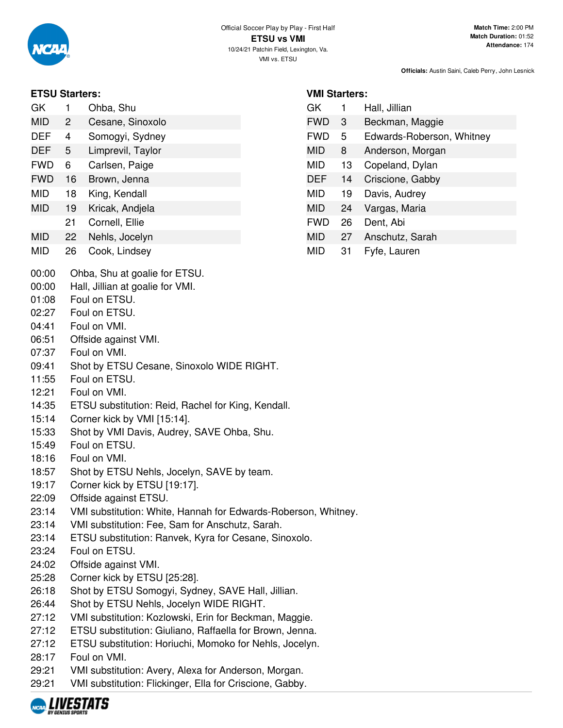

## **ETSU Starters:**

| GK  | Ohba, Shu        |
|-----|------------------|
| MID | Cesane, Sinoxolo |

- DEF 4 Somogyi, Sydney
- DEF 5 Limprevil, Taylor
- FWD 6 Carlsen, Paige
- FWD 16 Brown, Jenna
- MID 18 King, Kendall
- MID 19 Kricak, Andjela
- 21 Cornell, Ellie
- MID 22 Nehls, Jocelyn
- MID 26 Cook, Lindsey
- 00:00 Ohba, Shu at goalie for ETSU.
- 00:00 Hall, Jillian at goalie for VMI.
- 01:08 Foul on ETSU.
- 02:27 Foul on ETSU.
- 04:41 Foul on VMI.
- 06:51 Offside against VMI.
- 07:37 Foul on VMI.
- 09:41 Shot by ETSU Cesane, Sinoxolo WIDE RIGHT.
- 11:55 Foul on ETSU.
- 12:21 Foul on VMI.
- 14:35 ETSU substitution: Reid, Rachel for King, Kendall.
- 15:14 Corner kick by VMI [15:14].
- 15:33 Shot by VMI Davis, Audrey, SAVE Ohba, Shu.
- 15:49 Foul on ETSU.
- 18:16 Foul on VMI.
- 18:57 Shot by ETSU Nehls, Jocelyn, SAVE by team.
- 19:17 Corner kick by ETSU [19:17].
- 22:09 Offside against ETSU.
- 23:14 VMI substitution: White, Hannah for Edwards-Roberson, Whitney.
- 23:14 VMI substitution: Fee, Sam for Anschutz, Sarah.
- 23:14 ETSU substitution: Ranvek, Kyra for Cesane, Sinoxolo.
- 23:24 Foul on ETSU.
- 24:02 Offside against VMI.
- 25:28 Corner kick by ETSU [25:28].
- 26:18 Shot by ETSU Somogyi, Sydney, SAVE Hall, Jillian.
- 26:44 Shot by ETSU Nehls, Jocelyn WIDE RIGHT.
- 27:12 VMI substitution: Kozlowski, Erin for Beckman, Maggie.
- 27:12 ETSU substitution: Giuliano, Raffaella for Brown, Jenna.
- 27:12 ETSU substitution: Horiuchi, Momoko for Nehls, Jocelyn.
- 28:17 Foul on VMI.
- 29:21 VMI substitution: Avery, Alexa for Anderson, Morgan.
- 29:21 VMI substitution: Flickinger, Ella for Criscione, Gabby.



|  | <b>VMI Starters:</b> |
|--|----------------------|
|--|----------------------|

| GK         | 1  | Hall, Jillian             |
|------------|----|---------------------------|
| <b>FWD</b> | 3  | Beckman, Maggie           |
| <b>FWD</b> | 5  | Edwards-Roberson, Whitney |
| MID        | 8  | Anderson, Morgan          |
| MID        | 13 | Copeland, Dylan           |
| DEF        | 14 | Criscione, Gabby          |
| MID        | 19 | Davis, Audrey             |
| MID        | 24 | Vargas, Maria             |
| <b>FWD</b> | 26 | Dent, Abi                 |
| MID        | 27 | Anschutz, Sarah           |
| MID        | 31 | Fyfe, Lauren              |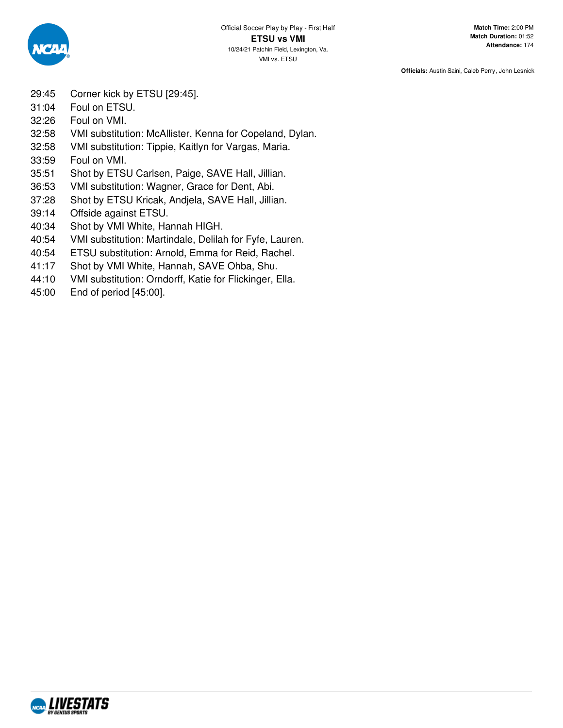

- 29:45 Corner kick by ETSU [29:45].
- 31:04 Foul on ETSU.
- 32:26 Foul on VMI.
- 32:58 VMI substitution: McAllister, Kenna for Copeland, Dylan.
- 32:58 VMI substitution: Tippie, Kaitlyn for Vargas, Maria.
- 33:59 Foul on VMI.
- 35:51 Shot by ETSU Carlsen, Paige, SAVE Hall, Jillian.
- 36:53 VMI substitution: Wagner, Grace for Dent, Abi.
- 37:28 Shot by ETSU Kricak, Andjela, SAVE Hall, Jillian.
- 39:14 Offside against ETSU.
- 40:34 Shot by VMI White, Hannah HIGH.
- 40:54 VMI substitution: Martindale, Delilah for Fyfe, Lauren.
- 40:54 ETSU substitution: Arnold, Emma for Reid, Rachel.
- 41:17 Shot by VMI White, Hannah, SAVE Ohba, Shu.
- 44:10 VMI substitution: Orndorff, Katie for Flickinger, Ella.
- 45:00 End of period [45:00].

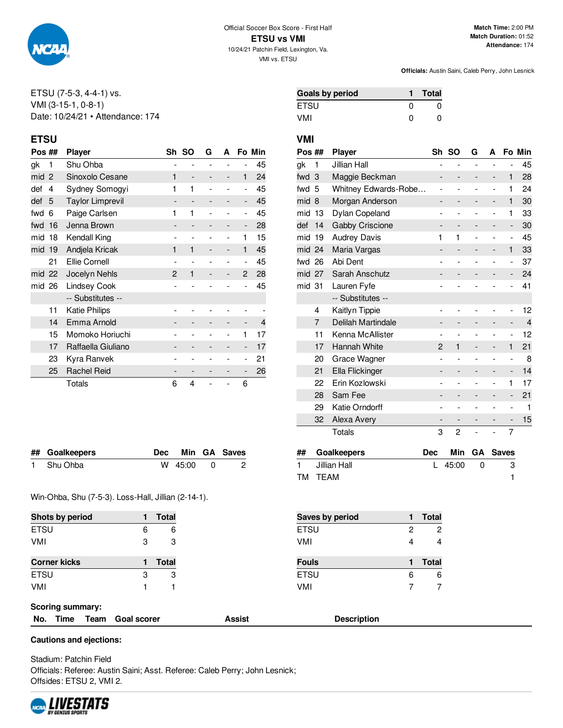

#### ETSU (7-5-3, 4-4-1) vs. VMI (3-15-1, 0-8-1) Date: 10/24/21 • Attendance: 174

## **ETSU VMI**

| Pos ##                   |                | <b>Player</b>           | Sh | so                           | G | A |                | Fo Min |
|--------------------------|----------------|-------------------------|----|------------------------------|---|---|----------------|--------|
| gk                       | 1              | Shu Ohba                |    |                              |   |   |                | 45     |
| mid                      | $\overline{c}$ | Sinoxolo Cesane         | 1  |                              |   |   | 1              | 24     |
| def                      | 4              | Sydney Somogyi          | 1  | 1                            |   |   | $\overline{a}$ | 45     |
| def                      | 5              | <b>Taylor Limprevil</b> |    | $\qquad \qquad \blacksquare$ |   | - | -              | 45     |
| fwd                      | 6              | Paige Carlsen           | 1  | 1                            |   |   | $\overline{a}$ | 45     |
| fwd                      | 16             | Jenna Brown             |    |                              |   |   | -              | 28     |
| mid                      | 18             | Kendall King            |    |                              |   |   | 1              | 15     |
| mid 19                   |                | Andjela Kricak          | 1  | 1                            |   | - | 1              | 45     |
|                          | 21             | <b>Ellie Cornell</b>    |    |                              |   |   | ۰              | 45     |
| mid 22                   |                | Jocelyn Nehls           | 2  | 1                            |   |   | 2              | 28     |
| mid 26                   |                | <b>Lindsey Cook</b>     |    |                              |   |   |                | 45     |
|                          |                | -- Substitutes --       |    |                              |   |   |                |        |
|                          | 11             | <b>Katie Philips</b>    |    |                              |   |   |                |        |
|                          | 14             | Emma Arnold             |    | $\qquad \qquad -$            |   | - |                | 4      |
|                          | 15             | Momoko Horiuchi         |    |                              |   |   | 1              | 17     |
|                          | 17             | Raffaella Giuliano      |    |                              |   |   | -              | 17     |
|                          | 23             | Kyra Ranvek             |    |                              |   |   |                | 21     |
| <b>Rachel Reid</b><br>25 |                |                         |    |                              |   |   | -              | 26     |
|                          |                | Totals                  | 6  | 4                            |   |   | 6              |        |

| <b>Goals by period</b> |   | <b>Total</b> |
|------------------------|---|--------------|
| ETSU                   | O | O            |
| VMI                    | O | O            |

| Pos ## |    | <b>Player</b>        | Sh             | <b>SO</b>      | G              | A              |                              | Fo Min         |
|--------|----|----------------------|----------------|----------------|----------------|----------------|------------------------------|----------------|
| gk     | 1  | Jillian Hall         | -              | $\overline{a}$ | $\overline{a}$ | $\overline{a}$ | $\overline{a}$               | 45             |
| fwd    | 3  | Maggie Beckman       | -              |                |                | -              | 1                            | 28             |
| fwd    | 5  | Whitney Edwards-Robe |                |                |                | $\overline{a}$ | 1                            | 24             |
| mid    | 8  | Morgan Anderson      | -              |                | -              | -              | 1                            | 30             |
| mid    | 13 | Dylan Copeland       | $\overline{a}$ |                |                | $\overline{a}$ | 1                            | 33             |
| def    | 14 | Gabby Criscione      | -              | -              | -              | -              | $\overline{\phantom{m}}$     | 30             |
| mid    | 19 | <b>Audrey Davis</b>  | 1              | 1              | -              | -              | $\overline{\phantom{0}}$     | 45             |
| mid 24 |    | Maria Vargas         | -              |                |                | -              | 1                            | 33             |
| fwd    | 26 | Abi Dent             |                |                |                | $\overline{a}$ | $\overline{a}$               | 37             |
| mid    | 27 | Sarah Anschutz       |                |                |                |                | -                            | 24             |
| mid 31 |    | Lauren Fyfe          |                |                |                |                | $\overline{a}$               | 41             |
|        |    | -- Substitutes --    |                |                |                |                |                              |                |
|        | 4  | Kaitlyn Tippie       | -              |                |                |                | -                            | 12             |
|        | 7  | Delilah Martindale   | -              |                |                | -              | $\overline{\phantom{0}}$     | $\overline{4}$ |
|        | 11 | Kenna McAllister     | -              |                |                | -              | $\overline{\phantom{0}}$     | 12             |
|        | 17 | Hannah White         | 2              | 1              |                | -              | 1                            | 21             |
|        | 20 | Grace Wagner         | $\overline{a}$ |                | ۰              | $\overline{a}$ | $\qquad \qquad \blacksquare$ | 8              |
|        | 21 | Ella Flickinger      | -              |                |                | -              | -                            | 14             |
|        | 22 | Erin Kozlowski       |                |                |                | $\overline{a}$ | 1                            | 17             |
|        | 28 | Sam Fee              | -              |                |                |                | -                            | 21             |
|        | 29 | Katie Orndorff       |                |                |                |                | -                            | 1              |
|        | 32 | Alexa Avery          | -              |                |                |                |                              | 15             |
|        |    | Totals               | 3              | 2              | Ĭ,             | $\overline{a}$ | 7                            |                |

**## Goalkeepers Dec Min GA Saves** 1 Jillian Hall **L** 45:00 0 3 TM TEAM 1

| ## Goalkeepers |             | Dec Min GA Saves |
|----------------|-------------|------------------|
| 1 Shu Ohba     | $W$ 45:00 0 | $\overline{2}$   |

#### Win-Ohba, Shu (7-5-3). Loss-Hall, Jillian (2-14-1).

| Shots by period         |                    | Total        |               | Saves by period    | <b>Total</b> |
|-------------------------|--------------------|--------------|---------------|--------------------|--------------|
| <b>ETSU</b>             | 6                  | 6            | <b>ETSU</b>   | 2                  | 2            |
| VMI                     | 3                  | 3            | VMI           | 4                  | 4            |
| <b>Corner kicks</b>     |                    | <b>Total</b> | <b>Fouls</b>  | 1.                 | <b>Total</b> |
| <b>ETSU</b>             | 3                  | 3            | <b>ETSU</b>   | 6                  | 6            |
| VMI                     |                    |              | VMI           |                    |              |
| <b>Scoring summary:</b> |                    |              |               |                    |              |
| No.<br>Time<br>Team     | <b>Goal scorer</b> |              | <b>Assist</b> | <b>Description</b> |              |

**Cautions and ejections:**

Stadium: Patchin Field Officials: Referee: Austin Saini; Asst. Referee: Caleb Perry; John Lesnick; Offsides: ETSU 2, VMI 2.

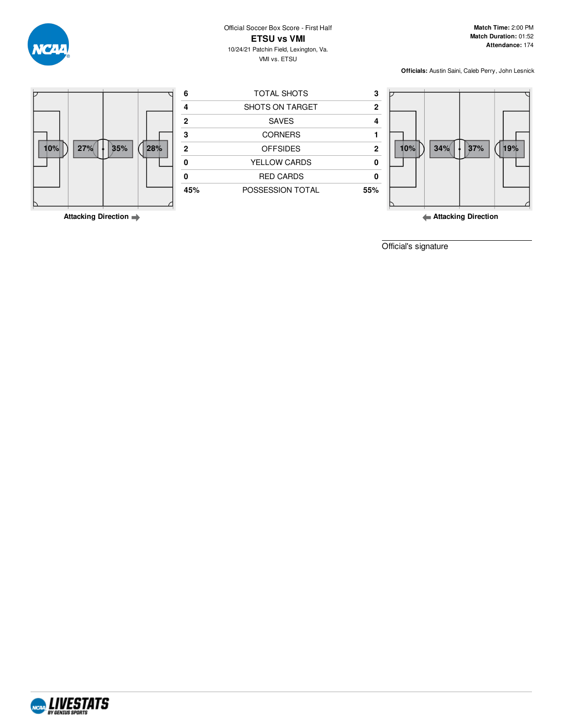Official Soccer Box Score - First Half **ETSU vs VMI** 10/24/21 Patchin Field, Lexington, Va. VMI vs. ETSU

**Match Time:** 2:00 PM **Match Duration:** 01:52 **Attendance:** 174

**Officials:** Austin Saini, Caleb Perry, John Lesnick



**Attacking Direction**

**Attacking Direction**

Official's signature

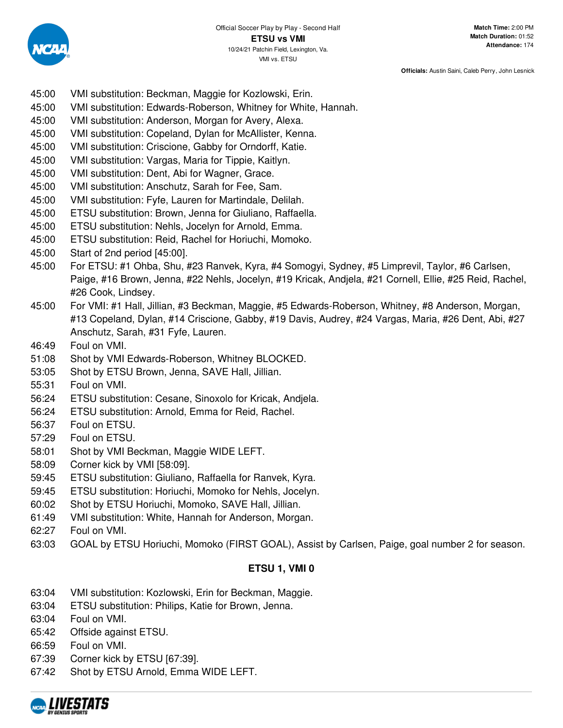

- 45:00 VMI substitution: Beckman, Maggie for Kozlowski, Erin.
- 45:00 VMI substitution: Edwards-Roberson, Whitney for White, Hannah.
- 45:00 VMI substitution: Anderson, Morgan for Avery, Alexa.
- 45:00 VMI substitution: Copeland, Dylan for McAllister, Kenna.
- 45:00 VMI substitution: Criscione, Gabby for Orndorff, Katie.
- 45:00 VMI substitution: Vargas, Maria for Tippie, Kaitlyn.
- 45:00 VMI substitution: Dent, Abi for Wagner, Grace.
- 45:00 VMI substitution: Anschutz, Sarah for Fee, Sam.
- 45:00 VMI substitution: Fyfe, Lauren for Martindale, Delilah.
- 45:00 ETSU substitution: Brown, Jenna for Giuliano, Raffaella.
- 45:00 ETSU substitution: Nehls, Jocelyn for Arnold, Emma.
- 45:00 ETSU substitution: Reid, Rachel for Horiuchi, Momoko.
- 45:00 Start of 2nd period [45:00].
- 45:00 For ETSU: #1 Ohba, Shu, #23 Ranvek, Kyra, #4 Somogyi, Sydney, #5 Limprevil, Taylor, #6 Carlsen, Paige, #16 Brown, Jenna, #22 Nehls, Jocelyn, #19 Kricak, Andjela, #21 Cornell, Ellie, #25 Reid, Rachel, #26 Cook, Lindsey.
- 45:00 For VMI: #1 Hall, Jillian, #3 Beckman, Maggie, #5 Edwards-Roberson, Whitney, #8 Anderson, Morgan, #13 Copeland, Dylan, #14 Criscione, Gabby, #19 Davis, Audrey, #24 Vargas, Maria, #26 Dent, Abi, #27 Anschutz, Sarah, #31 Fyfe, Lauren.
- 46:49 Foul on VMI.
- 51:08 Shot by VMI Edwards-Roberson, Whitney BLOCKED.
- 53:05 Shot by ETSU Brown, Jenna, SAVE Hall, Jillian.
- 55:31 Foul on VMI.
- 56:24 ETSU substitution: Cesane, Sinoxolo for Kricak, Andjela.
- 56:24 ETSU substitution: Arnold, Emma for Reid, Rachel.
- 56:37 Foul on ETSU.
- 57:29 Foul on ETSU.
- 58:01 Shot by VMI Beckman, Maggie WIDE LEFT.
- 58:09 Corner kick by VMI [58:09].
- 59:45 ETSU substitution: Giuliano, Raffaella for Ranvek, Kyra.
- 59:45 ETSU substitution: Horiuchi, Momoko for Nehls, Jocelyn.
- 60:02 Shot by ETSU Horiuchi, Momoko, SAVE Hall, Jillian.
- 61:49 VMI substitution: White, Hannah for Anderson, Morgan.
- 62:27 Foul on VMI.
- 63:03 GOAL by ETSU Horiuchi, Momoko (FIRST GOAL), Assist by Carlsen, Paige, goal number 2 for season.

## **ETSU 1, VMI 0**

- 63:04 VMI substitution: Kozlowski, Erin for Beckman, Maggie.
- 63:04 ETSU substitution: Philips, Katie for Brown, Jenna.
- 63:04 Foul on VMI.
- 65:42 Offside against ETSU.
- 66:59 Foul on VMI.
- 67:39 Corner kick by ETSU [67:39].
- 67:42 Shot by ETSU Arnold, Emma WIDE LEFT.

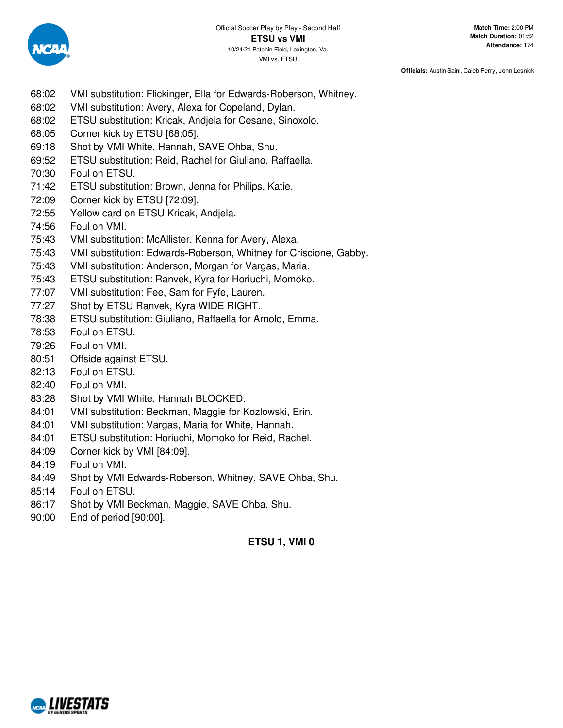

- 68:02 VMI substitution: Flickinger, Ella for Edwards-Roberson, Whitney.
- 68:02 VMI substitution: Avery, Alexa for Copeland, Dylan.
- 68:02 ETSU substitution: Kricak, Andjela for Cesane, Sinoxolo.
- 68:05 Corner kick by ETSU [68:05].
- 69:18 Shot by VMI White, Hannah, SAVE Ohba, Shu.
- 69:52 ETSU substitution: Reid, Rachel for Giuliano, Raffaella.
- 70:30 Foul on ETSU.
- 71:42 ETSU substitution: Brown, Jenna for Philips, Katie.
- 72:09 Corner kick by ETSU [72:09].
- 72:55 Yellow card on ETSU Kricak, Andjela.
- 74:56 Foul on VMI.
- 75:43 VMI substitution: McAllister, Kenna for Avery, Alexa.
- 75:43 VMI substitution: Edwards-Roberson, Whitney for Criscione, Gabby.
- 75:43 VMI substitution: Anderson, Morgan for Vargas, Maria.
- 75:43 ETSU substitution: Ranvek, Kyra for Horiuchi, Momoko.
- 77:07 VMI substitution: Fee, Sam for Fyfe, Lauren.
- 77:27 Shot by ETSU Ranvek, Kyra WIDE RIGHT.
- 78:38 ETSU substitution: Giuliano, Raffaella for Arnold, Emma.
- 78:53 Foul on ETSU.
- 79:26 Foul on VMI.
- 80:51 Offside against ETSU.
- 82:13 Foul on ETSU.
- 82:40 Foul on VMI.
- 83:28 Shot by VMI White, Hannah BLOCKED.
- 84:01 VMI substitution: Beckman, Maggie for Kozlowski, Erin.
- 84:01 VMI substitution: Vargas, Maria for White, Hannah.
- 84:01 ETSU substitution: Horiuchi, Momoko for Reid, Rachel.
- 84:09 Corner kick by VMI [84:09].
- 84:19 Foul on VMI.
- 84:49 Shot by VMI Edwards-Roberson, Whitney, SAVE Ohba, Shu.
- 85:14 Foul on ETSU.
- 86:17 Shot by VMI Beckman, Maggie, SAVE Ohba, Shu.
- 90:00 End of period [90:00].

# **ETSU 1, VMI 0**

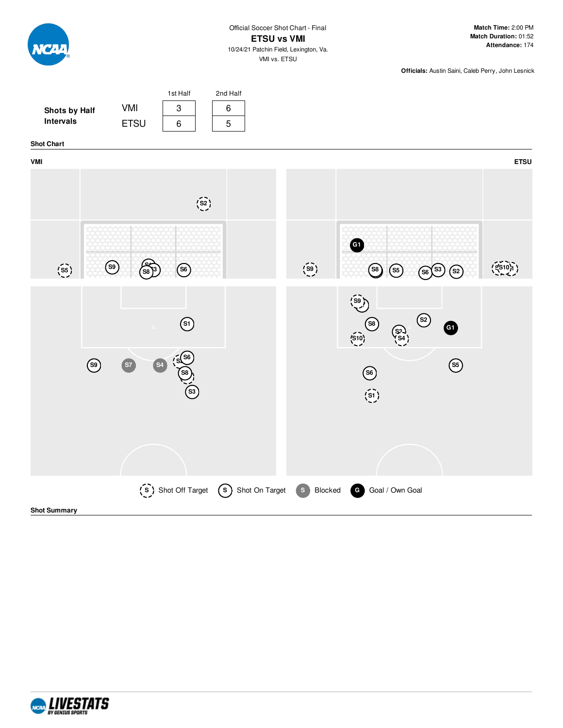

**Match Time:** 2:00 PM **Match Duration:** 01:52 **Attendance:** 174

**Officials:** Austin Saini, Caleb Perry, John Lesnick